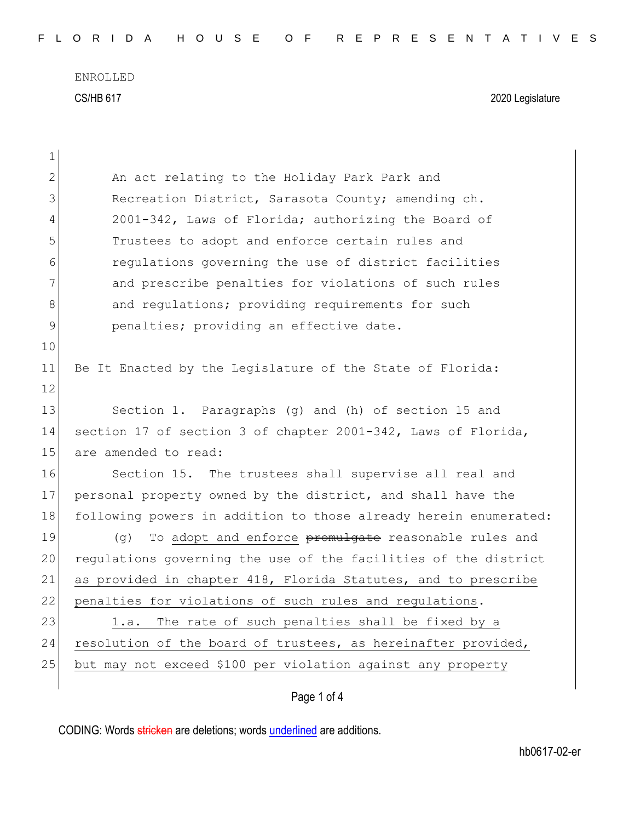ENROLLED CS/HB 617 2020 Legislature

| 1            |                                                                  |
|--------------|------------------------------------------------------------------|
| $\mathbf{2}$ | An act relating to the Holiday Park Park and                     |
| 3            | Recreation District, Sarasota County; amending ch.               |
| 4            | 2001-342, Laws of Florida; authorizing the Board of              |
| 5            | Trustees to adopt and enforce certain rules and                  |
| 6            | regulations governing the use of district facilities             |
| 7            | and prescribe penalties for violations of such rules             |
| 8            | and regulations; providing requirements for such                 |
| 9            | penalties; providing an effective date.                          |
| 10           |                                                                  |
| 11           | Be It Enacted by the Legislature of the State of Florida:        |
| 12           |                                                                  |
| 13           | Section 1. Paragraphs (g) and (h) of section 15 and              |
| 14           | section 17 of section 3 of chapter 2001-342, Laws of Florida,    |
| 15           | are amended to read:                                             |
| 16           | Section 15. The trustees shall supervise all real and            |
| 17           | personal property owned by the district, and shall have the      |
| 18           | following powers in addition to those already herein enumerated: |
| 19           | To adopt and enforce promulgate reasonable rules and<br>(q)      |
| 20           | regulations governing the use of the facilities of the district  |
| 21           | as provided in chapter 418, Florida Statutes, and to prescribe   |
| 22           | penalties for violations of such rules and regulations.          |
| 23           | The rate of such penalties shall be fixed by a<br>l.a.           |
| 24           | resolution of the board of trustees, as hereinafter provided,    |
| 25           | but may not exceed \$100 per violation against any property      |
|              | Page 1 of 4                                                      |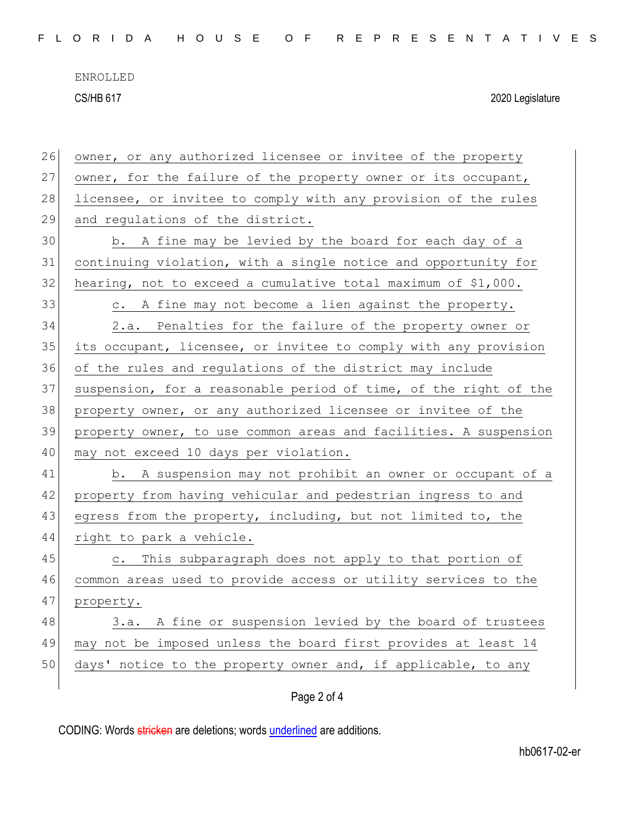ENROLLED

CS/HB 617 2020 Legislature

| 26 | owner, or any authorized licensee or invitee of the property     |
|----|------------------------------------------------------------------|
| 27 | owner, for the failure of the property owner or its occupant,    |
| 28 | licensee, or invitee to comply with any provision of the rules   |
| 29 | and regulations of the district.                                 |
| 30 | b. A fine may be levied by the board for each day of a           |
| 31 | continuing violation, with a single notice and opportunity for   |
| 32 | hearing, not to exceed a cumulative total maximum of \$1,000.    |
| 33 | c. A fine may not become a lien against the property.            |
| 34 | 2.a. Penalties for the failure of the property owner or          |
| 35 | its occupant, licensee, or invitee to comply with any provision  |
| 36 | of the rules and regulations of the district may include         |
| 37 | suspension, for a reasonable period of time, of the right of the |
| 38 | property owner, or any authorized licensee or invitee of the     |
| 39 | property owner, to use common areas and facilities. A suspension |
| 40 | may not exceed 10 days per violation.                            |
| 41 | b. A suspension may not prohibit an owner or occupant of a       |
| 42 | property from having vehicular and pedestrian ingress to and     |
| 43 | egress from the property, including, but not limited to, the     |
| 44 | right to park a vehicle.                                         |
| 45 | This subparagraph does not apply to that portion of<br>$\circ$ . |
| 46 | common areas used to provide access or utility services to the   |
| 47 | property.                                                        |
| 48 | A fine or suspension levied by the board of trustees<br>3.a.     |
| 49 | may not be imposed unless the board first provides at least 14   |
| 50 | days' notice to the property owner and, if applicable, to any    |
|    |                                                                  |

## Page 2 of 4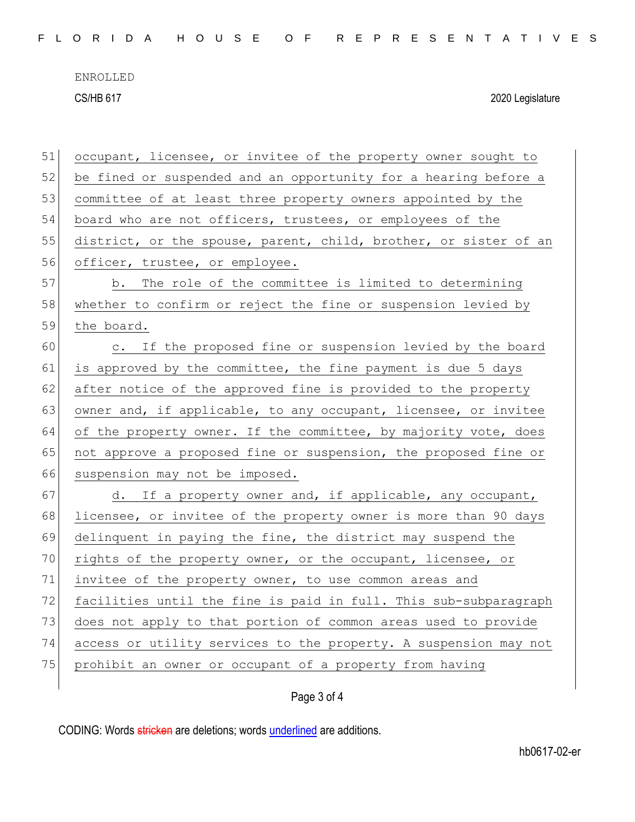ENROLLED CS/HB 617 2020 Legislature

| 51 | occupant, licensee, or invitee of the property owner sought to   |
|----|------------------------------------------------------------------|
| 52 | be fined or suspended and an opportunity for a hearing before a  |
| 53 | committee of at least three property owners appointed by the     |
| 54 | board who are not officers, trustees, or employees of the        |
| 55 | district, or the spouse, parent, child, brother, or sister of an |
| 56 | officer, trustee, or employee.                                   |
| 57 | b. The role of the committee is limited to determining           |
| 58 | whether to confirm or reject the fine or suspension levied by    |
| 59 | the board.                                                       |
| 60 | c. If the proposed fine or suspension levied by the board        |
| 61 | is approved by the committee, the fine payment is due 5 days     |
| 62 | after notice of the approved fine is provided to the property    |
| 63 | owner and, if applicable, to any occupant, licensee, or invitee  |
| 64 | of the property owner. If the committee, by majority vote, does  |
| 65 | not approve a proposed fine or suspension, the proposed fine or  |
| 66 | suspension may not be imposed.                                   |
| 67 | d. If a property owner and, if applicable, any occupant,         |
| 68 | licensee, or invitee of the property owner is more than 90 days  |
| 69 | delinquent in paying the fine, the district may suspend the      |
| 70 | rights of the property owner, or the occupant, licensee, or      |
| 71 | invitee of the property owner, to use common areas and           |
| 72 | facilities until the fine is paid in full. This sub-subparagraph |
| 73 | does not apply to that portion of common areas used to provide   |
| 74 | access or utility services to the property. A suspension may not |
| 75 | prohibit an owner or occupant of a property from having          |
|    |                                                                  |

Page 3 of 4